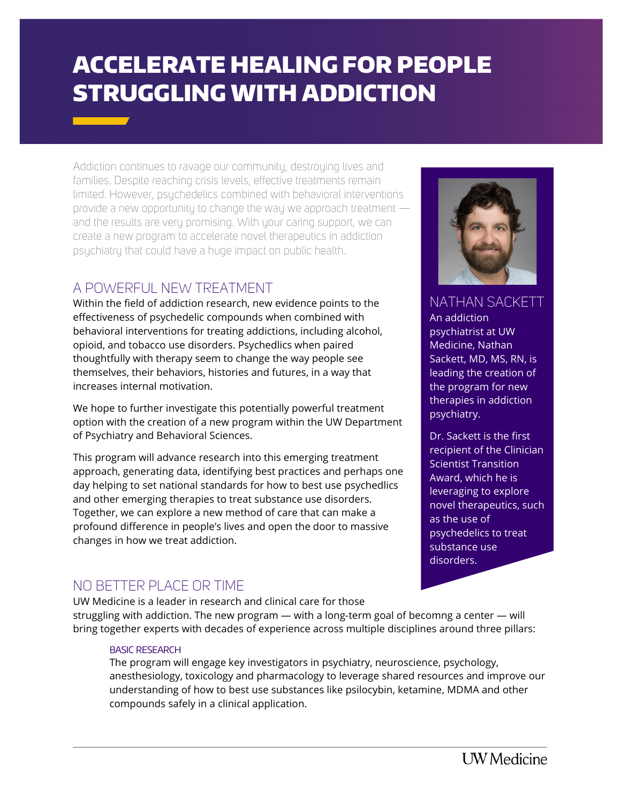# ACCELERATE HEALING FOR PEOPLE STRUGGLING WITH ADDICTION

Addiction continues to ravage our community, destroying lives and families. Despite reaching crisis levels, effective treatments remain limited. However, psychedelics combined with behavioral interventions provide a new opportunity to change the way we approach treatment and the results are very promising. With your caring support, we can create a new program to accelerate novel therapeutics in addiction psychiatry that could have a huge impact on public health.

# A POWERFUL NEW TREATMENT

Within the field of addiction research, new evidence points to the effectiveness of psychedelic compounds when combined with behavioral interventions for treating addictions, including alcohol, opioid, and tobacco use disorders. Psychedlics when paired thoughtfully with therapy seem to change the way people see themselves, their behaviors, histories and futures, in a way that increases internal motivation.

We hope to further investigate this potentially powerful treatment option with the creation of a new program within the UW Department of Psychiatry and Behavioral Sciences.

This program will advance research into this emerging treatment approach, generating data, identifying best practices and perhaps one day helping to set national standards for how to best use psychedlics and other emerging therapies to treat substance use disorders. Together, we can explore a new method of care that can make a profound difference in people's lives and open the door to massive changes in how we treat addiction.

# NO BETTER PLACE OR TIME

UW Medicine is a leader in research and clinical care for those struggling with addiction. The new program — with a long-term goal of becomng a center — will bring together experts with decades of experience across multiple disciplines around three pillars:

#### BASIC RESEARCH

The program will engage key investigators in psychiatry, neuroscience, psychology, anesthesiology, toxicology and pharmacology to leverage shared resources and improve our understanding of how to best use substances like psilocybin, ketamine, MDMA and other compounds safely in a clinical application.



NATHAN SACKETT An addiction psychiatrist at UW Medicine, Nathan

Sackett, MD, MS, RN, is leading the creation of the program for new therapies in addiction psychiatry.

Dr. Sackett is the first recipient of the Clinician Scientist Transition Award, which he is leveraging to explore novel therapeutics, such as the use of psychedelics to treat substance use disorders.